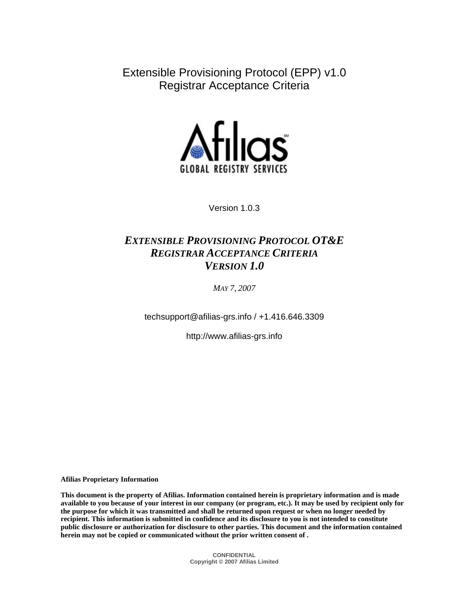Extensible Provisioning Protocol (EPP) v1.0 Registrar Acceptance Criteria



Version 1.0.3

# *EXTENSIBLE PROVISIONING PROTOCOL OT&E REGISTRAR ACCEPTANCE CRITERIA VERSION 1.0*

*MAY 7, 2007*

techsupport@afilias-grs.info / +1.416.646.3309

http://www.afilias-grs.info

**Afilias Proprietary Information** 

**This document is the property of Afilias. Information contained herein is proprietary information and is made available to you because of your interest in our company (or program, etc.). It may be used by recipient only for the purpose for which it was transmitted and shall be returned upon request or when no longer needed by recipient. This information is submitted in confidence and its disclosure to you is not intended to constitute public disclosure or authorization for disclosure to other parties. This document and the information contained herein may not be copied or communicated without the prior written consent of .**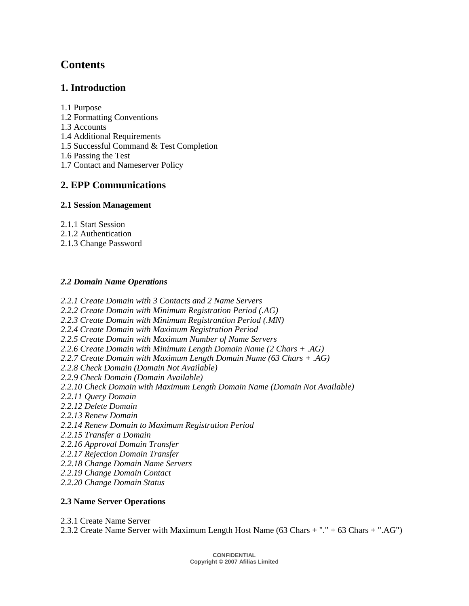# **Contents**

## **1. Introduction**

1.1 Purpose

- 1.2 Formatting Conventions
- 1.3 Accounts
- 1.4 Additional Requirements
- 1.5 Successful Command & Test Completion
- 1.6 Passing the Test
- 1.7 Contact and Nameserver Policy

## **2. EPP Communications**

## **2.1 Session Management**

- 2.1.1 Start Session
- 2.1.2 Authentication
- 2.1.3 Change Password

## *2.2 Domain Name Operations*

*2.2.1 Create Domain with 3 Contacts and 2 Name Servers 2.2.2 Create Domain with Minimum Registration Period (.AG) 2.2.3 Create Domain with Minimum Registrantion Period (.MN) 2.2.4 Create Domain with Maximum Registration Period 2.2.5 Create Domain with Maximum Number of Name Servers 2.2.6 Create Domain with Minimum Length Domain Name (2 Chars + .AG) 2.2.7 Create Domain with Maximum Length Domain Name (63 Chars + .AG) 2.2.8 Check Domain (Domain Not Available) 2.2.9 Check Domain (Domain Available) 2.2.10 Check Domain with Maximum Length Domain Name (Domain Not Available) 2.2.11 Query Domain 2.2.12 Delete Domain 2.2.13 Renew Domain 2.2.14 Renew Domain to Maximum Registration Period 2.2.15 Transfer a Domain 2.2.16 Approval Domain Transfer 2.2.17 Rejection Domain Transfer 2.2.18 Change Domain Name Servers 2.2.19 Change Domain Contact 2.2.20 Change Domain Status* 

## **2.3 Name Server Operations**

2.3.1 Create Name Server

2.3.2 Create Name Server with Maximum Length Host Name (63 Chars + "." + 63 Chars + ".AG")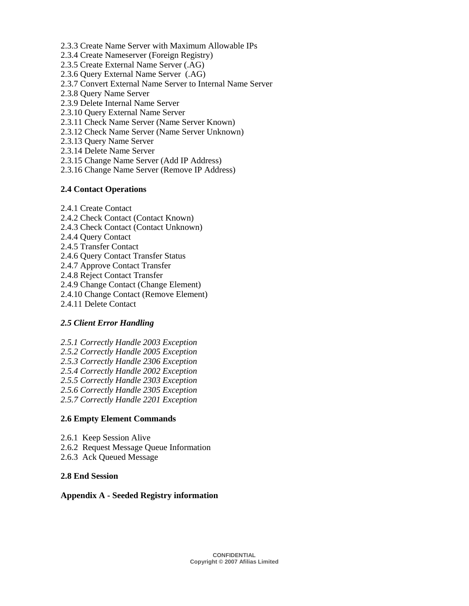- 2.3.3 Create Name Server with Maximum Allowable IPs
- 2.3.4 Create Nameserver (Foreign Registry)
- 2.3.5 Create External Name Server (.AG)
- 2.3.6 Query External Name Server (.AG)
- 2.3.7 Convert External Name Server to Internal Name Server
- 2.3.8 Query Name Server
- 2.3.9 Delete Internal Name Server
- 2.3.10 Query External Name Server
- 2.3.11 Check Name Server (Name Server Known)
- 2.3.12 Check Name Server (Name Server Unknown)
- 2.3.13 Query Name Server
- 2.3.14 Delete Name Server
- 2.3.15 Change Name Server (Add IP Address)
- 2.3.16 Change Name Server (Remove IP Address)

#### **2.4 Contact Operations**

- 2.4.1 Create Contact
- 2.4.2 Check Contact (Contact Known)
- 2.4.3 Check Contact (Contact Unknown)
- 2.4.4 Query Contact
- 2.4.5 Transfer Contact
- 2.4.6 Query Contact Transfer Status
- 2.4.7 Approve Contact Transfer
- 2.4.8 Reject Contact Transfer
- 2.4.9 Change Contact (Change Element)
- 2.4.10 Change Contact (Remove Element)
- 2.4.11 Delete Contact

#### *2.5 Client Error Handling*

*2.5.1 Correctly Handle 2003 Exception 2.5.2 Correctly Handle 2005 Exception 2.5.3 Correctly Handle 2306 Exception 2.5.4 Correctly Handle 2002 Exception 2.5.5 Correctly Handle 2303 Exception 2.5.6 Correctly Handle 2305 Exception 2.5.7 Correctly Handle 2201 Exception* 

#### **2.6 Empty Element Commands**

- 2.6.1 Keep Session Alive
- 2.6.2 Request Message Queue Information
- 2.6.3 Ack Queued Message

## **2.8 End Session**

#### **Appendix A - Seeded Registry information**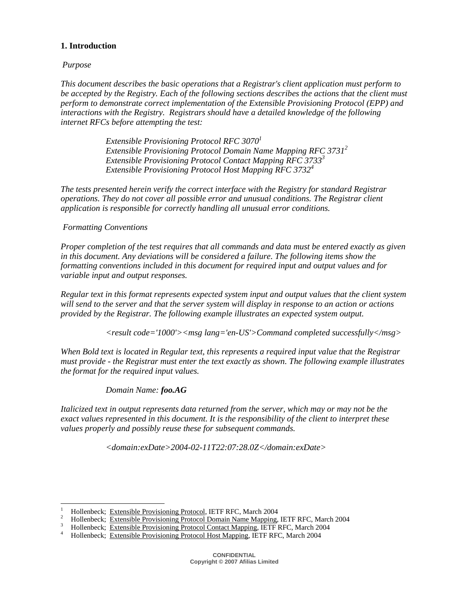## **1. Introduction**

## *Purpose*

*This document describes the basic operations that a Registrar's client application must perform to be accepted by the Registry. Each of the following sections describes the actions that the client must perform to demonstrate correct implementation of the Extensible Provisioning Protocol (EPP) and interactions with the Registry. Registrars should have a detailed knowledge of the following internet RFCs before attempting the test:* 

> *Extensible Provisioning Protocol RFC 30701 Extensible Provisioning Protocol Domain Name Mapping RFC 3731<sup>2</sup> Extensible Provisioning Protocol Contact Mapping RFC 37333 Extensible Provisioning Protocol Host Mapping RFC 3732<sup>4</sup>*

*The tests presented herein verify the correct interface with the Registry for standard Registrar operations. They do not cover all possible error and unusual conditions. The Registrar client application is responsible for correctly handling all unusual error conditions.* 

## *Formatting Conventions*

 $\overline{a}$ 

*Proper completion of the test requires that all commands and data must be entered exactly as given in this document. Any deviations will be considered a failure. The following items show the formatting conventions included in this document for required input and output values and for variable input and output responses.* 

*Regular text in this format represents expected system input and output values that the client system will send to the server and that the server system will display in response to an action or actions provided by the Registrar. The following example illustrates an expected system output.* 

 *<result code='1000'><msg lang='en-US'>Command completed successfully</msg>* 

*When Bold text is located in Regular text, this represents a required input value that the Registrar must provide - the Registrar must enter the text exactly as shown. The following example illustrates the format for the required input values.* 

## *Domain Name: foo.AG*

*Italicized text in output represents data returned from the server, which may or may not be the exact values represented in this document. It is the responsibility of the client to interpret these values properly and possibly reuse these for subsequent commands.* 

 *<domain:exDate>2004-02-11T22:07:28.0Z</domain:exDate>* 

<sup>1</sup> Hollenbeck; Extensible Provisioning Protocol, IETF RFC, March 2004

<sup>&</sup>lt;sup>2</sup> Hollenbeck; Extensible Provisioning Protocol Domain Name Mapping, IETF RFC, March 2004

 $\frac{3}{4}$  Hollenbeck; <u>Extensible Provisioning Protocol Contact Mapping</u>, IETF RFC, March 2004  $\frac{4}{4}$  Hollenbeck: Extensible Provisioning Protocol Host Mapping IETF RFC, March 2004

Hollenbeck; Extensible Provisioning Protocol Host Mapping, IETF RFC, March 2004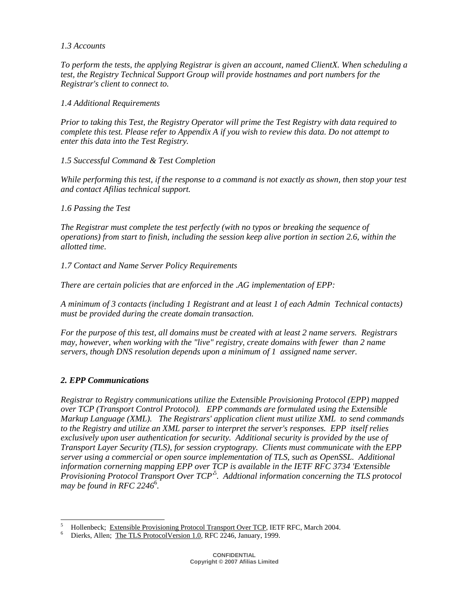## *1.3 Accounts*

*To perform the tests, the applying Registrar is given an account, named ClientX. When scheduling a test, the Registry Technical Support Group will provide hostnames and port numbers for the Registrar's client to connect to.* 

## *1.4 Additional Requirements*

*Prior to taking this Test, the Registry Operator will prime the Test Registry with data required to complete this test. Please refer to Appendix A if you wish to review this data. Do not attempt to enter this data into the Test Registry.* 

*1.5 Successful Command & Test Completion* 

*While performing this test, if the response to a command is not exactly as shown, then stop your test and contact Afilias technical support.* 

## *1.6 Passing the Test*

*The Registrar must complete the test perfectly (with no typos or breaking the sequence of operations) from start to finish, including the session keep alive portion in section 2.6, within the allotted time.* 

*1.7 Contact and Name Server Policy Requirements* 

*There are certain policies that are enforced in the .AG implementation of EPP:* 

*A minimum of 3 contacts (including 1 Registrant and at least 1 of each Admin Technical contacts) must be provided during the create domain transaction.* 

*For the purpose of this test, all domains must be created with at least 2 name servers. Registrars may, however, when working with the "live" registry, create domains with fewer than 2 name servers, though DNS resolution depends upon a minimum of 1 assigned name server.* 

## *2. EPP Communications*

*Registrar to Registry communications utilize the Extensible Provisioning Protocol (EPP) mapped over TCP (Transport Control Protocol). EPP commands are formulated using the Extensible Markup Language (XML). The Registrars' application client must utilize XML to send commands to the Registry and utilize an XML parser to interpret the server's responses. EPP itself relies exclusively upon user authentication for security. Additional security is provided by the use of Transport Layer Security (TLS), for session cryptograpy. Clients must communicate with the EPP server using a commercial or open source implementation of TLS, such as OpenSSL. Additional information cornerning mapping EPP over TCP is available in the IETF RFC 3734 'Extensible Provisioning Protocol Transport Over TCP'*<sup>5</sup> *. Addtional information concerning the TLS protocol may be found in RFC 2246*<sup>6</sup> *.* 

 $\overline{a}$ 5 <sup>5</sup> Hollenbeck; <u>Extensible Provisioning Protocol Transport Over TCP</u>, IETF RFC, March 2004.<br><sup>6</sup> Dierks, Allen: The TLS Protocol Version 1.0, REC 2246, January, 1999

Dierks, Allen; The TLS ProtocolVersion 1.0, RFC 2246, January, 1999.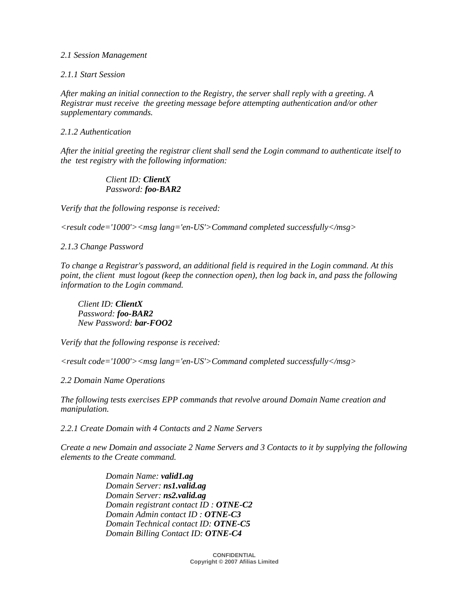#### *2.1 Session Management*

#### *2.1.1 Start Session*

*After making an initial connection to the Registry, the server shall reply with a greeting. A Registrar must receive the greeting message before attempting authentication and/or other supplementary commands.* 

#### *2.1.2 Authentication*

*After the initial greeting the registrar client shall send the Login command to authenticate itself to the test registry with the following information:* 

#### *Client ID: ClientX Password: foo-BAR2*

*Verify that the following response is received:* 

*<result code='1000'><msg lang='en-US'>Command completed successfully</msg>* 

*2.1.3 Change Password* 

*To change a Registrar's password, an additional field is required in the Login command. At this point, the client must logout (keep the connection open), then log back in, and pass the following information to the Login command.* 

 *Client ID: ClientX Password: foo-BAR2 New Password: bar-FOO2* 

*Verify that the following response is received:* 

*<result code='1000'><msg lang='en-US'>Command completed successfully</msg>*

*2.2 Domain Name Operations* 

*The following tests exercises EPP commands that revolve around Domain Name creation and manipulation.* 

*2.2.1 Create Domain with 4 Contacts and 2 Name Servers* 

*Create a new Domain and associate 2 Name Servers and 3 Contacts to it by supplying the following elements to the Create command.* 

> *Domain Name: valid1.ag Domain Server: ns1.valid.ag Domain Server: ns2.valid.ag Domain registrant contact ID : OTNE-C2 Domain Admin contact ID : OTNE-C3 Domain Technical contact ID: OTNE-C5 Domain Billing Contact ID: OTNE-C4*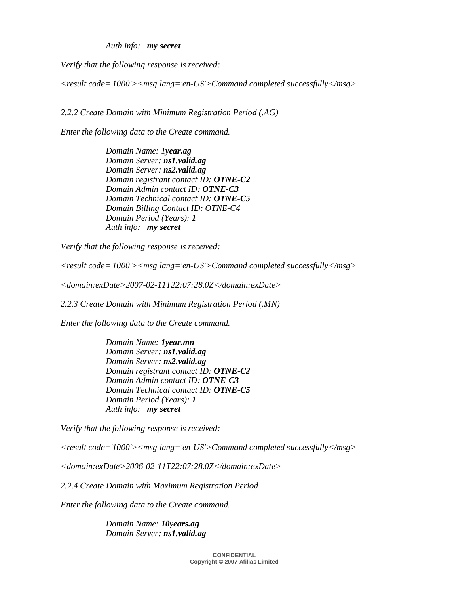*Auth info: my secret* 

*Verify that the following response is received:* 

*<result code='1000'><msg lang='en-US'>Command completed successfully</msg>* 

*2.2.2 Create Domain with Minimum Registration Period (.AG)* 

*Enter the following data to the Create command.* 

 *Domain Name: 1year.ag Domain Server: ns1.valid.ag Domain Server: ns2.valid.ag Domain registrant contact ID: OTNE-C2 Domain Admin contact ID: OTNE-C3 Domain Technical contact ID: OTNE-C5 Domain Billing Contact ID: OTNE-C4 Domain Period (Years): 1 Auth info: my secret* 

*Verify that the following response is received:* 

*<result code='1000'><msg lang='en-US'>Command completed successfully</msg>* 

*<domain:exDate>2007-02-11T22:07:28.0Z</domain:exDate>* 

*2.2.3 Create Domain with Minimum Registration Period (.MN)* 

*Enter the following data to the Create command.* 

 *Domain Name: 1year.mn Domain Server: ns1.valid.ag Domain Server: ns2.valid.ag Domain registrant contact ID: OTNE-C2 Domain Admin contact ID: OTNE-C3 Domain Technical contact ID: OTNE-C5 Domain Period (Years): 1 Auth info: my secret* 

*Verify that the following response is received:* 

*<result code='1000'><msg lang='en-US'>Command completed successfully</msg>* 

*<domain:exDate>2006-02-11T22:07:28.0Z</domain:exDate>* 

*2.2.4 Create Domain with Maximum Registration Period* 

*Enter the following data to the Create command.* 

 *Domain Name: 10years.ag Domain Server: ns1.valid.ag*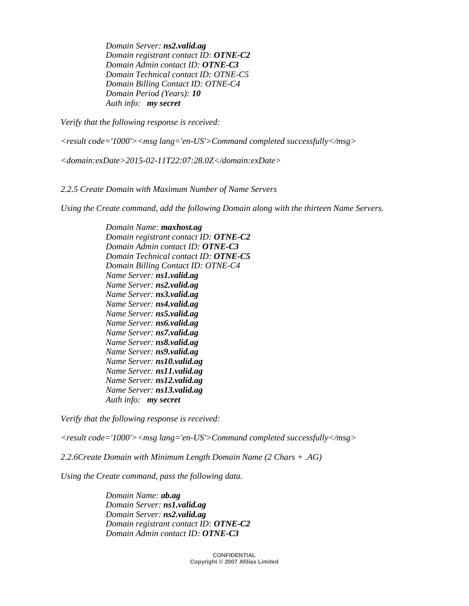*Domain Server: ns2.valid.ag Domain registrant contact ID: OTNE-C2 Domain Admin contact ID: OTNE-C3 Domain Technical contact ID: OTNE-C5 Domain Billing Contact ID: OTNE-C4 Domain Period (Years): 10 Auth info: my secret* 

*Verify that the following response is received:* 

*<result code='1000'><msg lang='en-US'>Command completed successfully</msg>* 

*<domain:exDate>2015-02-11T22:07:28.0Z</domain:exDate>* 

*2.2.5 Create Domain with Maximum Number of Name Servers* 

*Using the Create command, add the following Domain along with the thirteen Name Servers.* 

 *Domain Name: maxhost.ag Domain registrant contact ID: OTNE-C2 Domain Admin contact ID: OTNE-C3 Domain Technical contact ID: OTNE-C5 Domain Billing Contact ID: OTNE-C4 Name Server: ns1.valid.ag Name Server: ns2.valid.ag Name Server: ns3.valid.ag Name Server: ns4.valid.ag Name Server: ns5.valid.ag Name Server: ns6.valid.ag Name Server: ns7.valid.ag Name Server: ns8.valid.ag Name Server: ns9.valid.ag Name Server: ns10.valid.ag Name Server: ns11.valid.ag Name Server: ns12.valid.ag Name Server: ns13.valid.ag Auth info: my secret* 

*Verify that the following response is received:* 

*<result code='1000'><msg lang='en-US'>Command completed successfully</msg>* 

*2.2.6Create Domain with Minimum Length Domain Name (2 Chars + .AG)* 

*Using the Create command, pass the following data.* 

 *Domain Name: ab.ag Domain Server: ns1.valid.ag Domain Server: ns2.valid.ag Domain registrant contact ID: OTNE-C2 Domain Admin contact ID: OTNE-C3*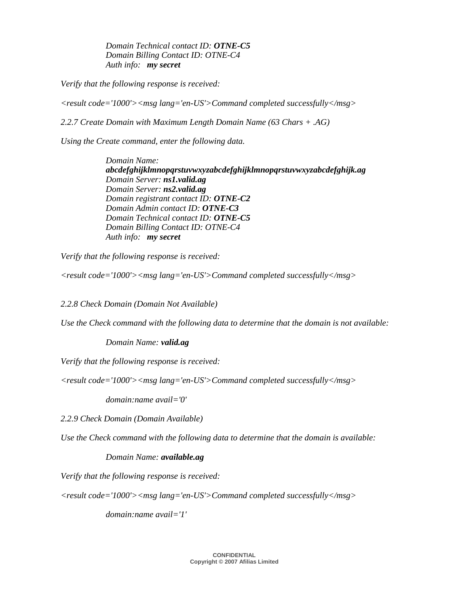*Domain Technical contact ID: OTNE-C5 Domain Billing Contact ID: OTNE-C4 Auth info: my secret* 

*Verify that the following response is received:* 

*<result code='1000'><msg lang='en-US'>Command completed successfully</msg>* 

*2.2.7 Create Domain with Maximum Length Domain Name (63 Chars + .AG)* 

*Using the Create command, enter the following data.* 

 *Domain Name: abcdefghijklmnopqrstuvwxyzabcdefghijklmnopqrstuvwxyzabcdefghijk.ag Domain Server: ns1.valid.ag Domain Server: ns2.valid.ag Domain registrant contact ID: OTNE-C2 Domain Admin contact ID: OTNE-C3 Domain Technical contact ID: OTNE-C5 Domain Billing Contact ID: OTNE-C4 Auth info: my secret* 

*Verify that the following response is received:* 

*<result code='1000'><msg lang='en-US'>Command completed successfully</msg>* 

*2.2.8 Check Domain (Domain Not Available)* 

*Use the Check command with the following data to determine that the domain is not available:* 

 *Domain Name: valid.ag*

*Verify that the following response is received:* 

*<result code='1000'><msg lang='en-US'>Command completed successfully</msg>* 

 *domain:name avail='0'* 

*2.2.9 Check Domain (Domain Available)* 

*Use the Check command with the following data to determine that the domain is available:* 

#### *Domain Name: available.ag*

*Verify that the following response is received:* 

*<result code='1000'><msg lang='en-US'>Command completed successfully</msg>* 

 *domain:name avail='1'*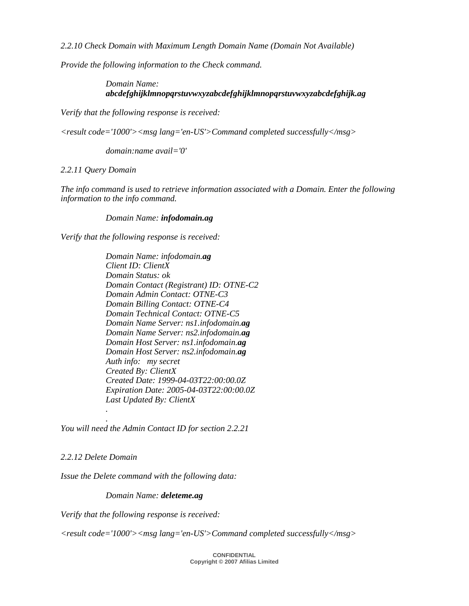*2.2.10 Check Domain with Maximum Length Domain Name (Domain Not Available)* 

*Provide the following information to the Check command.* 

## *Domain Name: abcdefghijklmnopqrstuvwxyzabcdefghijklmnopqrstuvwxyzabcdefghijk.ag*

*Verify that the following response is received:* 

*<result code='1000'><msg lang='en-US'>Command completed successfully</msg>* 

 *domain:name avail='0'* 

*2.2.11 Query Domain* 

*The info command is used to retrieve information associated with a Domain. Enter the following information to the info command.* 

#### *Domain Name: infodomain.ag*

*Verify that the following response is received:* 

 *Domain Name: infodomain.ag Client ID: ClientX Domain Status: ok Domain Contact (Registrant) ID: OTNE-C2 Domain Admin Contact: OTNE-C3 Domain Billing Contact: OTNE-C4 Domain Technical Contact: OTNE-C5 Domain Name Server: ns1.infodomain.ag Domain Name Server: ns2.infodomain.ag Domain Host Server: ns1.infodomain.ag Domain Host Server: ns2.infodomain.ag Auth info: my secret Created By: ClientX Created Date: 1999-04-03T22:00:00.0Z Expiration Date: 2005-04-03T22:00:00.0Z Last Updated By: ClientX .* 

*You will need the Admin Contact ID for section 2.2.21* 

*2.2.12 Delete Domain* 

 *.* 

*Issue the Delete command with the following data:* 

#### *Domain Name: deleteme.ag*

*Verify that the following response is received:* 

*<result code='1000'><msg lang='en-US'>Command completed successfully</msg>*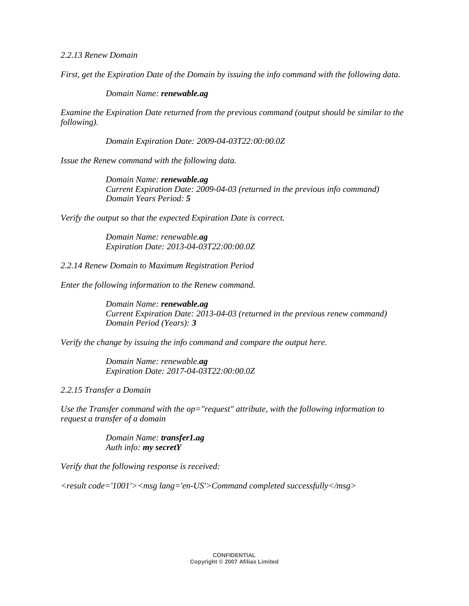*2.2.13 Renew Domain* 

*First, get the Expiration Date of the Domain by issuing the info command with the following data.* 

#### *Domain Name: renewable.ag*

*Examine the Expiration Date returned from the previous command (output should be similar to the following).* 

 *Domain Expiration Date: 2009-04-03T22:00:00.0Z* 

*Issue the Renew command with the following data.* 

 *Domain Name: renewable.ag Current Expiration Date: 2009-04-03 (returned in the previous info command) Domain Years Period: 5*

*Verify the output so that the expected Expiration Date is correct.* 

 *Domain Name: renewable.ag Expiration Date: 2013-04-03T22:00:00.0Z* 

*2.2.14 Renew Domain to Maximum Registration Period* 

*Enter the following information to the Renew command.* 

 *Domain Name: renewable.ag Current Expiration Date: 2013-04-03 (returned in the previous renew command) Domain Period (Years): 3*

*Verify the change by issuing the info command and compare the output here.* 

 *Domain Name: renewable.ag Expiration Date: 2017-04-03T22:00:00.0Z* 

*2.2.15 Transfer a Domain* 

*Use the Transfer command with the op="request" attribute, with the following information to request a transfer of a domain* 

> *Domain Name: transfer1.ag Auth info: my secretY*

*Verify that the following response is received:* 

*<result code='1001'><msg lang='en-US'>Command completed successfully</msg>*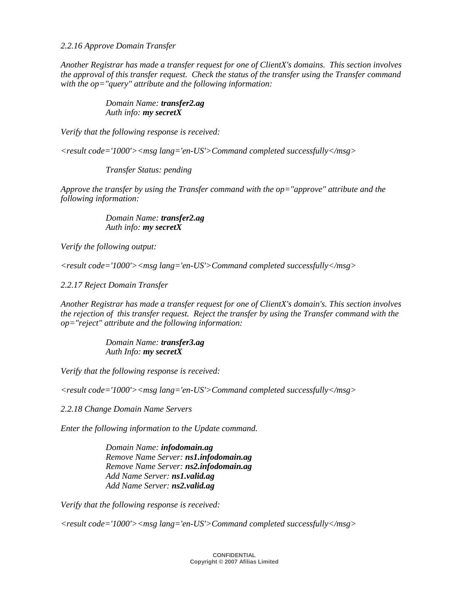*2.2.16 Approve Domain Transfer* 

*Another Registrar has made a transfer request for one of ClientX's domains. This section involves the approval of this transfer request. Check the status of the transfer using the Transfer command with the op="query" attribute and the following information:* 

#### *Domain Name: transfer2.ag Auth info: my secretX*

*Verify that the following response is received:* 

*<result code='1000'><msg lang='en-US'>Command completed successfully</msg>* 

 *Transfer Status: pending* 

*Approve the transfer by using the Transfer command with the op="approve" attribute and the following information:* 

#### *Domain Name: transfer2.ag Auth info: my secretX*

*Verify the following output:* 

*<result code='1000'><msg lang='en-US'>Command completed successfully</msg>* 

*2.2.17 Reject Domain Transfer* 

*Another Registrar has made a transfer request for one of ClientX's domain's. This section involves the rejection of this transfer request. Reject the transfer by using the Transfer command with the op="reject" attribute and the following information:* 

> *Domain Name: transfer3.ag Auth Info: my secretX*

*Verify that the following response is received:* 

*<result code='1000'><msg lang='en-US'>Command completed successfully</msg>* 

*2.2.18 Change Domain Name Servers* 

*Enter the following information to the Update command.* 

 *Domain Name: infodomain.ag Remove Name Server: ns1.infodomain.ag Remove Name Server: ns2.infodomain.ag Add Name Server: ns1.valid.ag Add Name Server: ns2.valid.ag*

*Verify that the following response is received:* 

*<result code='1000'><msg lang='en-US'>Command completed successfully</msg>*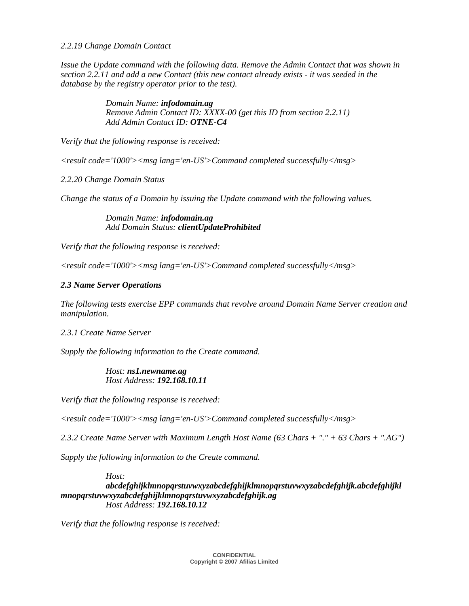*2.2.19 Change Domain Contact* 

*Issue the Update command with the following data. Remove the Admin Contact that was shown in section 2.2.11 and add a new Contact (this new contact already exists - it was seeded in the database by the registry operator prior to the test).* 

> *Domain Name: infodomain.ag Remove Admin Contact ID: XXXX-00 (get this ID from section 2.2.11) Add Admin Contact ID: OTNE-C4*

*Verify that the following response is received:* 

*<result code='1000'><msg lang='en-US'>Command completed successfully</msg>* 

*2.2.20 Change Domain Status* 

*Change the status of a Domain by issuing the Update command with the following values.* 

 *Domain Name: infodomain.ag Add Domain Status: clientUpdateProhibited* 

*Verify that the following response is received:* 

*<result code='1000'><msg lang='en-US'>Command completed successfully</msg>* 

#### *2.3 Name Server Operations*

*The following tests exercise EPP commands that revolve around Domain Name Server creation and manipulation.* 

*2.3.1 Create Name Server* 

*Supply the following information to the Create command.* 

#### *Host: ns1.newname.ag Host Address: 192.168.10.11*

*Verify that the following response is received:* 

*<result code='1000'><msg lang='en-US'>Command completed successfully</msg>* 

*2.3.2 Create Name Server with Maximum Length Host Name (63 Chars + "." + 63 Chars + ".AG")* 

*Supply the following information to the Create command.* 

#### *Host: abcdefghijklmnopqrstuvwxyzabcdefghijklmnopqrstuvwxyzabcdefghijk.abcdefghijkl mnopqrstuvwxyzabcdefghijklmnopqrstuvwxyzabcdefghijk.ag Host Address: 192.168.10.12*

*Verify that the following response is received:*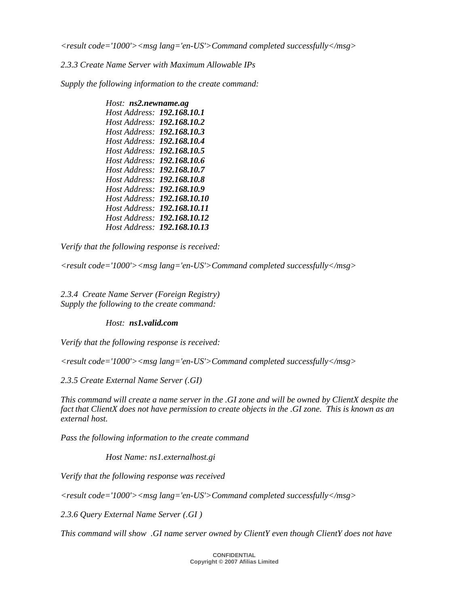*<result code='1000'><msg lang='en-US'>Command completed successfully</msg>* 

*2.3.3 Create Name Server with Maximum Allowable IPs* 

*Supply the following information to the create command:* 

| Host: ns2.newname.ag              |  |
|-----------------------------------|--|
| Host Address: 192.168.10.1        |  |
| <i>Host Address:</i> 192.168.10.2 |  |
| Host Address: 192.168.10.3        |  |
| Host Address: <b>192.168.10.4</b> |  |
| Host Address: 192.168.10.5        |  |
| Host Address: 192.168.10.6        |  |
| Host Address: 192.168.10.7        |  |
| Host Address: <b>192.168.10.8</b> |  |
| Host Address: 192.168.10.9        |  |
| Host Address: 192,168,10,10       |  |
| Host Address: 192.168.10.11       |  |
| Host Address: 192.168.10.12       |  |
| Host Address: 192.168.10.13       |  |

*Verify that the following response is received:* 

*<result code='1000'><msg lang='en-US'>Command completed successfully</msg>* 

*2.3.4 Create Name Server (Foreign Registry) Supply the following to the create command:* 

#### *Host: ns1.valid.com*

*Verify that the following response is received:* 

*<result code='1000'><msg lang='en-US'>Command completed successfully</msg>* 

*2.3.5 Create External Name Server (.GI)* 

*This command will create a name server in the .GI zone and will be owned by ClientX despite the fact that ClientX does not have permission to create objects in the .GI zone. This is known as an external host.* 

*Pass the following information to the create command* 

 *Host Name: ns1.externalhost.gi*

*Verify that the following response was received* 

*<result code='1000'><msg lang='en-US'>Command completed successfully</msg>* 

*2.3.6 Query External Name Server (.GI )* 

*This command will show .GI name server owned by ClientY even though ClientY does not have*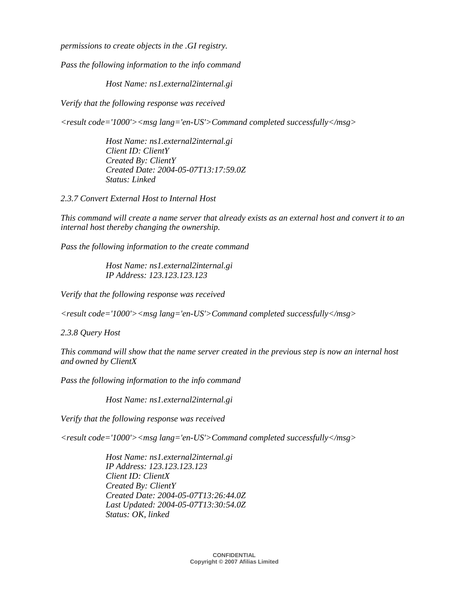*permissions to create objects in the .GI registry.* 

*Pass the following information to the info command* 

 *Host Name: ns1.external2internal.gi*

*Verify that the following response was received* 

*<result code='1000'><msg lang='en-US'>Command completed successfully</msg>* 

 *Host Name: ns1.external2internal.gi Client ID: ClientY Created By: ClientY Created Date: 2004-05-07T13:17:59.0Z Status: Linked*

*2.3.7 Convert External Host to Internal Host* 

*This command will create a name server that already exists as an external host and convert it to an internal host thereby changing the ownership.* 

*Pass the following information to the create command* 

 *Host Name: ns1.external2internal.gi IP Address: 123.123.123.123* 

*Verify that the following response was received* 

*<result code='1000'><msg lang='en-US'>Command completed successfully</msg>* 

*2.3.8 Query Host* 

*This command will show that the name server created in the previous step is now an internal host and owned by ClientX* 

*Pass the following information to the info command* 

 *Host Name: ns1.external2internal.gi*

*Verify that the following response was received* 

*<result code='1000'><msg lang='en-US'>Command completed successfully</msg>* 

 *Host Name: ns1.external2internal.gi IP Address: 123.123.123.123 Client ID: ClientX Created By: ClientY Created Date: 2004-05-07T13:26:44.0Z Last Updated: 2004-05-07T13:30:54.0Z Status: OK, linked*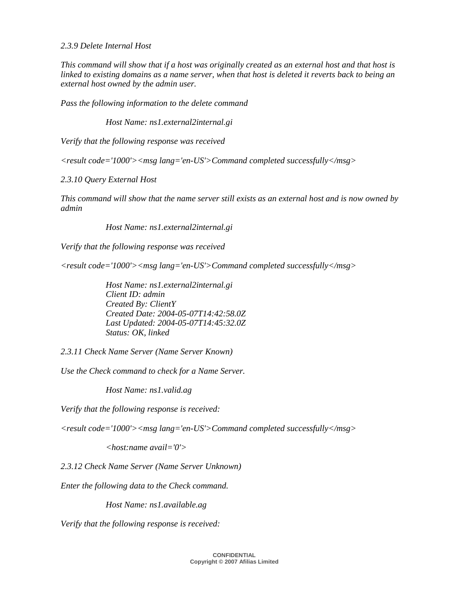#### *2.3.9 Delete Internal Host*

*This command will show that if a host was originally created as an external host and that host is linked to existing domains as a name server, when that host is deleted it reverts back to being an external host owned by the admin user.* 

*Pass the following information to the delete command* 

 *Host Name: ns1.external2internal.gi*

*Verify that the following response was received* 

*<result code='1000'><msg lang='en-US'>Command completed successfully</msg>* 

*2.3.10 Query External Host* 

*This command will show that the name server still exists as an external host and is now owned by admin* 

 *Host Name: ns1.external2internal.gi*

*Verify that the following response was received* 

*<result code='1000'><msg lang='en-US'>Command completed successfully</msg>* 

 *Host Name: ns1.external2internal.gi Client ID: admin Created By: ClientY Created Date: 2004-05-07T14:42:58.0Z Last Updated: 2004-05-07T14:45:32.0Z Status: OK, linked* 

*2.3.11 Check Name Server (Name Server Known)* 

*Use the Check command to check for a Name Server.* 

 *Host Name: ns1.valid.ag*

*Verify that the following response is received:* 

*<result code='1000'><msg lang='en-US'>Command completed successfully</msg>* 

 *<host:name avail='0'>* 

*2.3.12 Check Name Server (Name Server Unknown)* 

*Enter the following data to the Check command.* 

 *Host Name: ns1.available.ag*

*Verify that the following response is received:*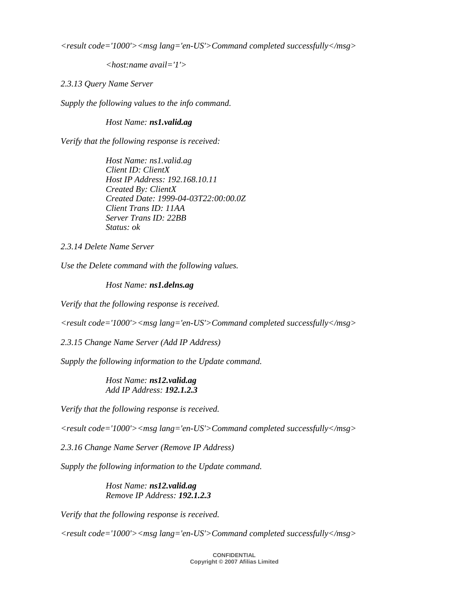*<result code='1000'><msg lang='en-US'>Command completed successfully</msg>* 

 *<host:name avail='1'>* 

*2.3.13 Query Name Server* 

*Supply the following values to the info command.* 

 *Host Name: ns1.valid.ag*

*Verify that the following response is received:* 

 *Host Name: ns1.valid.ag Client ID: ClientX Host IP Address: 192.168.10.11 Created By: ClientX Created Date: 1999-04-03T22:00:00.0Z Client Trans ID: 11AA Server Trans ID: 22BB Status: ok* 

*2.3.14 Delete Name Server* 

*Use the Delete command with the following values.* 

 *Host Name: ns1.delns.ag*

*Verify that the following response is received.* 

*<result code='1000'><msg lang='en-US'>Command completed successfully</msg>* 

*2.3.15 Change Name Server (Add IP Address)* 

*Supply the following information to the Update command.* 

 *Host Name: ns12.valid.ag Add IP Address: 192.1.2.3* 

*Verify that the following response is received.* 

*<result code='1000'><msg lang='en-US'>Command completed successfully</msg>* 

*2.3.16 Change Name Server (Remove IP Address)* 

*Supply the following information to the Update command.* 

 *Host Name: ns12.valid.ag Remove IP Address: 192.1.2.3* 

*Verify that the following response is received.* 

*<result code='1000'><msg lang='en-US'>Command completed successfully</msg>*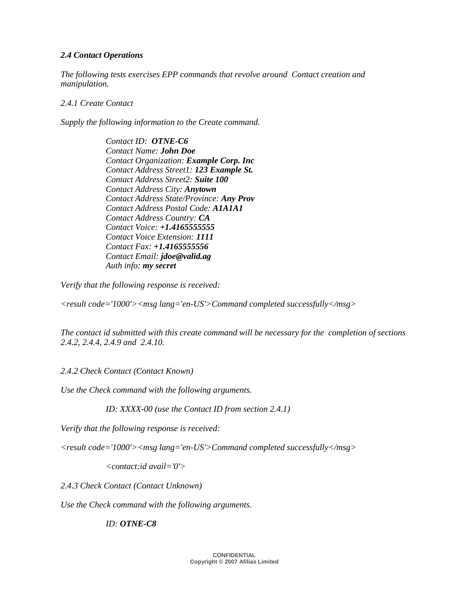## *2.4 Contact Operations*

*The following tests exercises EPP commands that revolve around Contact creation and manipulation.* 

## *2.4.1 Create Contact*

*Supply the following information to the Create command.* 

 *Contact ID: OTNE-C6 Contact Name: John Doe Contact Organization: Example Corp. Inc Contact Address Street1: 123 Example St. Contact Address Street2: Suite 100 Contact Address City: Anytown Contact Address State/Province: Any Prov Contact Address Postal Code: A1A1A1 Contact Address Country: CA Contact Voice: +1.4165555555 Contact Voice Extension: 1111 Contact Fax: +1.4165555556 Contact Email: jdoe@valid.ag Auth info: my secret* 

*Verify that the following response is received:* 

*<result code='1000'><msg lang='en-US'>Command completed successfully</msg>* 

*The contact id submitted with this create command will be necessary for the completion of sections 2.4.2, 2.4.4, 2.4.9 and 2.4.10.* 

*2.4.2 Check Contact (Contact Known)* 

*Use the Check command with the following arguments.* 

 *ID: XXXX-00 (use the Contact ID from section 2.4.1)* 

*Verify that the following response is received:* 

*<result code='1000'><msg lang='en-US'>Command completed successfully</msg>* 

 *<contact:id avail='0'>* 

*2.4.3 Check Contact (Contact Unknown)* 

*Use the Check command with the following arguments.* 

 *ID: OTNE-C8*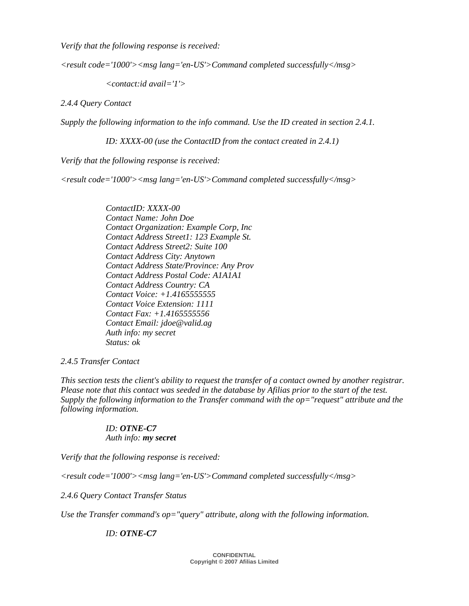*Verify that the following response is received:* 

*<result code='1000'><msg lang='en-US'>Command completed successfully</msg>* 

 *<contact:id avail='1'>* 

*2.4.4 Query Contact* 

*Supply the following information to the info command. Use the ID created in section 2.4.1.* 

 *ID: XXXX-00 (use the ContactID from the contact created in 2.4.1)* 

*Verify that the following response is received:* 

*<result code='1000'><msg lang='en-US'>Command completed successfully</msg>* 

 *ContactID: XXXX-00 Contact Name: John Doe Contact Organization: Example Corp, Inc Contact Address Street1: 123 Example St. Contact Address Street2: Suite 100 Contact Address City: Anytown Contact Address State/Province: Any Prov Contact Address Postal Code: A1A1A1 Contact Address Country: CA Contact Voice: +1.4165555555 Contact Voice Extension: 1111 Contact Fax: +1.4165555556 Contact Email: jdoe@valid.ag Auth info: my secret Status: ok* 

#### *2.4.5 Transfer Contact*

*This section tests the client's ability to request the transfer of a contact owned by another registrar. Please note that this contact was seeded in the database by Afilias prior to the start of the test. Supply the following information to the Transfer command with the op="request" attribute and the following information.* 

#### *ID: OTNE-C7*

 *Auth info: my secret* 

*Verify that the following response is received:* 

*<result code='1000'><msg lang='en-US'>Command completed successfully</msg>* 

*2.4.6 Query Contact Transfer Status* 

Use the Transfer command's op="query" attribute, along with the following information.

#### *ID: OTNE-C7*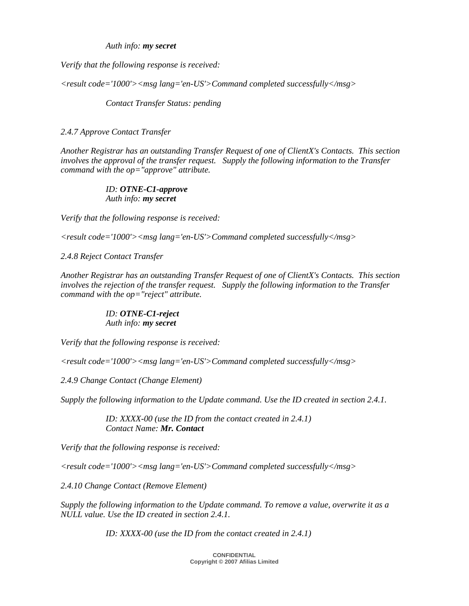*Auth info: my secret* 

*Verify that the following response is received:* 

*<result code='1000'><msg lang='en-US'>Command completed successfully</msg>* 

 *Contact Transfer Status: pending* 

#### *2.4.7 Approve Contact Transfer*

*Another Registrar has an outstanding Transfer Request of one of ClientX's Contacts. This section involves the approval of the transfer request. Supply the following information to the Transfer command with the op="approve" attribute.* 

#### *ID: OTNE-C1-approve Auth info: my secret*

*Verify that the following response is received:* 

*<result code='1000'><msg lang='en-US'>Command completed successfully</msg>* 

*2.4.8 Reject Contact Transfer* 

*Another Registrar has an outstanding Transfer Request of one of ClientX's Contacts. This section involves the rejection of the transfer request. Supply the following information to the Transfer command with the op="reject" attribute.* 

#### *ID: OTNE-C1-reject Auth info: my secret*

*Verify that the following response is received:* 

*<result code='1000'><msg lang='en-US'>Command completed successfully</msg>* 

*2.4.9 Change Contact (Change Element)* 

*Supply the following information to the Update command. Use the ID created in section 2.4.1.* 

 *ID: XXXX-00 (use the ID from the contact created in 2.4.1) Contact Name: Mr. Contact* 

*Verify that the following response is received:* 

*<result code='1000'><msg lang='en-US'>Command completed successfully</msg>* 

*2.4.10 Change Contact (Remove Element)* 

*Supply the following information to the Update command. To remove a value, overwrite it as a NULL value. Use the ID created in section 2.4.1.* 

 *ID: XXXX-00 (use the ID from the contact created in 2.4.1)*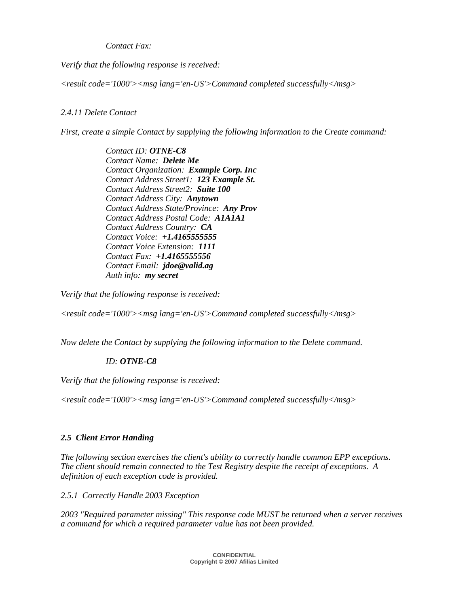*Contact Fax:* 

*Verify that the following response is received:* 

*<result code='1000'><msg lang='en-US'>Command completed successfully</msg>* 

## *2.4.11 Delete Contact*

*First, create a simple Contact by supplying the following information to the Create command:* 

 *Contact ID: OTNE-C8 Contact Name: Delete Me Contact Organization: Example Corp. Inc Contact Address Street1: 123 Example St. Contact Address Street2: Suite 100 Contact Address City: Anytown Contact Address State/Province: Any Prov Contact Address Postal Code: A1A1A1 Contact Address Country: CA Contact Voice: +1.4165555555 Contact Voice Extension: 1111 Contact Fax: +1.4165555556 Contact Email: jdoe@valid.ag Auth info: my secret* 

*Verify that the following response is received:* 

*<result code='1000'><msg lang='en-US'>Command completed successfully</msg>* 

*Now delete the Contact by supplying the following information to the Delete command.* 

## *ID: OTNE-C8*

*Verify that the following response is received:* 

*<result code='1000'><msg lang='en-US'>Command completed successfully</msg>* 

## *2.5 Client Error Handing*

*The following section exercises the client's ability to correctly handle common EPP exceptions. The client should remain connected to the Test Registry despite the receipt of exceptions. A definition of each exception code is provided.* 

*2.5.1 Correctly Handle 2003 Exception* 

*2003 "Required parameter missing" This response code MUST be returned when a server receives a command for which a required parameter value has not been provided.*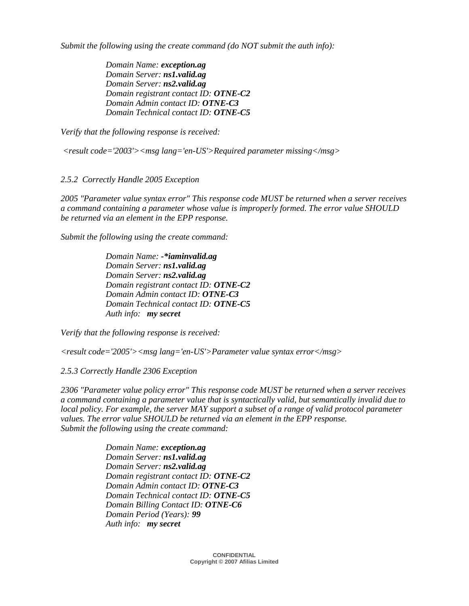*Submit the following using the create command (do NOT submit the auth info):* 

 *Domain Name: exception.ag Domain Server: ns1.valid.ag Domain Server: ns2.valid.ag Domain registrant contact ID: OTNE-C2 Domain Admin contact ID: OTNE-C3 Domain Technical contact ID: OTNE-C5* 

*Verify that the following response is received:* 

 *<result code='2003'><msg lang='en-US'>Required parameter missing</msg>* 

*2.5.2 Correctly Handle 2005 Exception* 

*2005 "Parameter value syntax error" This response code MUST be returned when a server receives a command containing a parameter whose value is improperly formed. The error value SHOULD be returned via an element in the EPP response.* 

*Submit the following using the create command:* 

 *Domain Name: -\*iaminvalid.ag Domain Server: ns1.valid.ag Domain Server: ns2.valid.ag Domain registrant contact ID: OTNE-C2 Domain Admin contact ID: OTNE-C3 Domain Technical contact ID: OTNE-C5 Auth info: my secret* 

*Verify that the following response is received:* 

*<result code='2005'><msg lang='en-US'>Parameter value syntax error</msg>* 

*2.5.3 Correctly Handle 2306 Exception* 

*2306 "Parameter value policy error" This response code MUST be returned when a server receives a command containing a parameter value that is syntactically valid, but semantically invalid due to local policy. For example, the server MAY support a subset of a range of valid protocol parameter values. The error value SHOULD be returned via an element in the EPP response. Submit the following using the create command:* 

> *Domain Name: exception.ag Domain Server: ns1.valid.ag Domain Server: ns2.valid.ag Domain registrant contact ID: OTNE-C2 Domain Admin contact ID: OTNE-C3 Domain Technical contact ID: OTNE-C5 Domain Billing Contact ID: OTNE-C6 Domain Period (Years): 99 Auth info: my secret*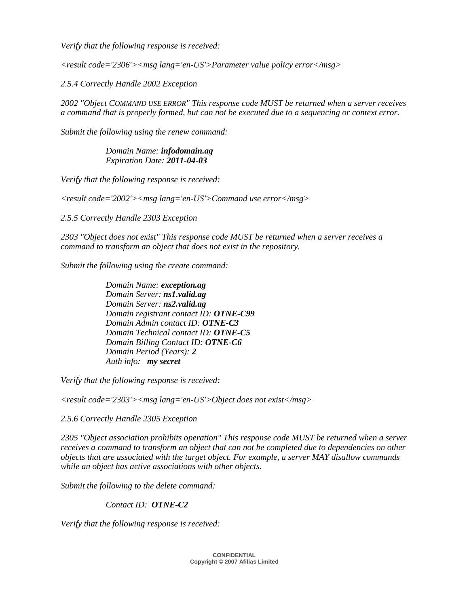*Verify that the following response is received:* 

*<result code='2306'><msg lang='en-US'>Parameter value policy error</msg>* 

*2.5.4 Correctly Handle 2002 Exception* 

*2002 "Object COMMAND USE ERROR" This response code MUST be returned when a server receives a command that is properly formed, but can not be executed due to a sequencing or context error.* 

*Submit the following using the renew command:* 

 *Domain Name: infodomain.ag Expiration Date: 2011-04-03* 

*Verify that the following response is received:* 

*<result code='2002'><msg lang='en-US'>Command use error</msg>* 

*2.5.5 Correctly Handle 2303 Exception* 

*2303 "Object does not exist" This response code MUST be returned when a server receives a command to transform an object that does not exist in the repository.* 

*Submit the following using the create command:* 

 *Domain Name: exception.ag Domain Server: ns1.valid.ag Domain Server: ns2.valid.ag Domain registrant contact ID: OTNE-C99 Domain Admin contact ID: OTNE-C3 Domain Technical contact ID: OTNE-C5 Domain Billing Contact ID: OTNE-C6 Domain Period (Years): 2 Auth info: my secret* 

*Verify that the following response is received:* 

*<result code='2303'><msg lang='en-US'>Object does not exist</msg>* 

*2.5.6 Correctly Handle 2305 Exception* 

*2305 "Object association prohibits operation" This response code MUST be returned when a server receives a command to transform an object that can not be completed due to dependencies on other objects that are associated with the target object. For example, a server MAY disallow commands while an object has active associations with other objects.* 

*Submit the following to the delete command:* 

#### *Contact ID: OTNE-C2*

*Verify that the following response is received:*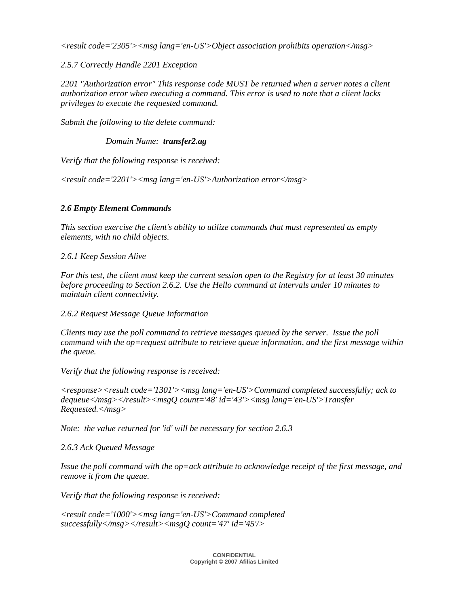*<result code='2305'><msg lang='en-US'>Object association prohibits operation</msg>* 

*2.5.7 Correctly Handle 2201 Exception* 

*2201 "Authorization error" This response code MUST be returned when a server notes a client authorization error when executing a command. This error is used to note that a client lacks privileges to execute the requested command.* 

*Submit the following to the delete command:* 

 *Domain Name: transfer2.ag*

*Verify that the following response is received:* 

*<result code='2201'><msg lang='en-US'>Authorization error</msg>* 

## *2.6 Empty Element Commands*

*This section exercise the client's ability to utilize commands that must represented as empty elements, with no child objects.* 

*2.6.1 Keep Session Alive* 

*For this test, the client must keep the current session open to the Registry for at least 30 minutes before proceeding to Section 2.6.2. Use the Hello command at intervals under 10 minutes to maintain client connectivity.* 

*2.6.2 Request Message Queue Information* 

*Clients may use the poll command to retrieve messages queued by the server. Issue the poll command with the op=request attribute to retrieve queue information, and the first message within the queue.* 

*Verify that the following response is received:* 

*<response><result code='1301'><msg lang='en-US'>Command completed successfully; ack to dequeue</msg></result><msgQ count='48' id='43'><msg lang='en-US'>Transfer Requested.</msg>* 

*Note: the value returned for 'id' will be necessary for section 2.6.3* 

*2.6.3 Ack Queued Message* 

*Issue the poll command with the op=ack attribute to acknowledge receipt of the first message, and remove it from the queue.* 

*Verify that the following response is received:* 

*<result code='1000'><msg lang='en-US'>Command completed successfully</msg></result><msgQ count='47' id='45'/>*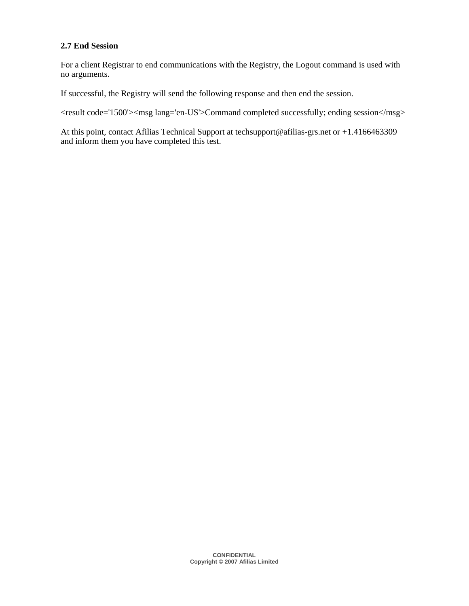## **2.7 End Session**

For a client Registrar to end communications with the Registry, the Logout command is used with no arguments.

If successful, the Registry will send the following response and then end the session.

<result code='1500'><msg lang='en-US'>Command completed successfully; ending session</msg>

At this point, contact Afilias Technical Support at techsupport@afilias-grs.net or +1.4166463309 and inform them you have completed this test.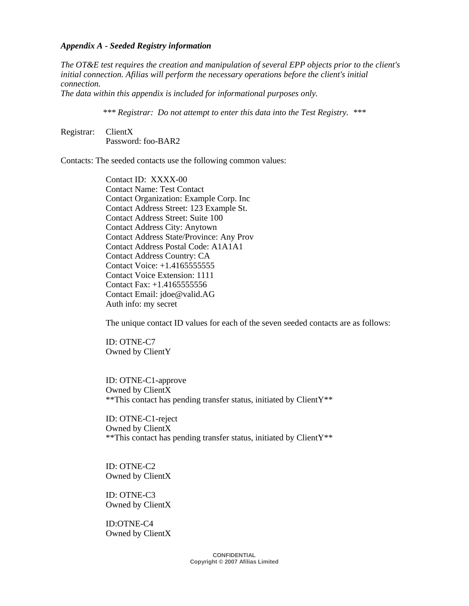#### *Appendix A - Seeded Registry information*

*The OT&E test requires the creation and manipulation of several EPP objects prior to the client's initial connection. Afilias will perform the necessary operations before the client's initial connection.* 

*The data within this appendix is included for informational purposes only.* 

*\*\*\* Registrar: Do not attempt to enter this data into the Test Registry. \*\*\**

Registrar: ClientX Password: foo-BAR2

Contacts: The seeded contacts use the following common values:

 Contact ID: XXXX-00 Contact Name: Test Contact Contact Organization: Example Corp. Inc Contact Address Street: 123 Example St. Contact Address Street: Suite 100 Contact Address City: Anytown Contact Address State/Province: Any Prov Contact Address Postal Code: A1A1A1 Contact Address Country: CA Contact Voice: +1.4165555555 Contact Voice Extension: 1111 Contact Fax: +1.4165555556 Contact Email: jdoe@valid.AG Auth info: my secret

The unique contact ID values for each of the seven seeded contacts are as follows:

 ID: OTNE-C7 Owned by ClientY

 ID: OTNE-C1-approve Owned by ClientX \*\*This contact has pending transfer status, initiated by ClientY\*\*

 ID: OTNE-C1-reject Owned by ClientX \*\*This contact has pending transfer status, initiated by ClientY\*\*

 ID: OTNE-C2 Owned by ClientX

 ID: OTNE-C3 Owned by ClientX

 ID:OTNE-C4 Owned by ClientX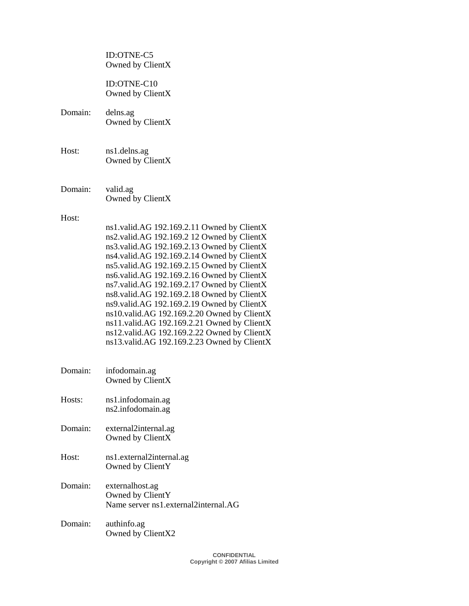ID:OTNE-C5 Owned by ClientX

 ID:OTNE-C10 Owned by ClientX

- Domain: delns.ag Owned by ClientX
- Host: ns1.delns.ag Owned by ClientX
- Domain: valid.ag Owned by ClientX

#### Host:

- ns1.valid.AG 192.169.2.11 Owned by ClientX ns2.valid.AG 192.169.2 12 Owned by ClientX ns3.valid.AG 192.169.2.13 Owned by ClientX ns4.valid.AG 192.169.2.14 Owned by ClientX ns5.valid.AG 192.169.2.15 Owned by ClientX ns6.valid.AG 192.169.2.16 Owned by ClientX ns7.valid.AG 192.169.2.17 Owned by ClientX ns8.valid.AG 192.169.2.18 Owned by ClientX ns9.valid.AG 192.169.2.19 Owned by ClientX ns10.valid.AG 192.169.2.20 Owned by ClientX ns11.valid.AG 192.169.2.21 Owned by ClientX ns12.valid.AG 192.169.2.22 Owned by ClientX ns13.valid.AG 192.169.2.23 Owned by ClientX
- Domain: infodomain.ag Owned by ClientX
- Hosts: ns1.infodomain.ag ns2.infodomain.ag
- Domain: external2internal.ag Owned by ClientX
- Host: ns1.external2internal.ag Owned by ClientY
- Domain: externalhost.ag Owned by ClientY Name server ns1.external2internal.AG
- Domain: authinfo.ag Owned by ClientX2